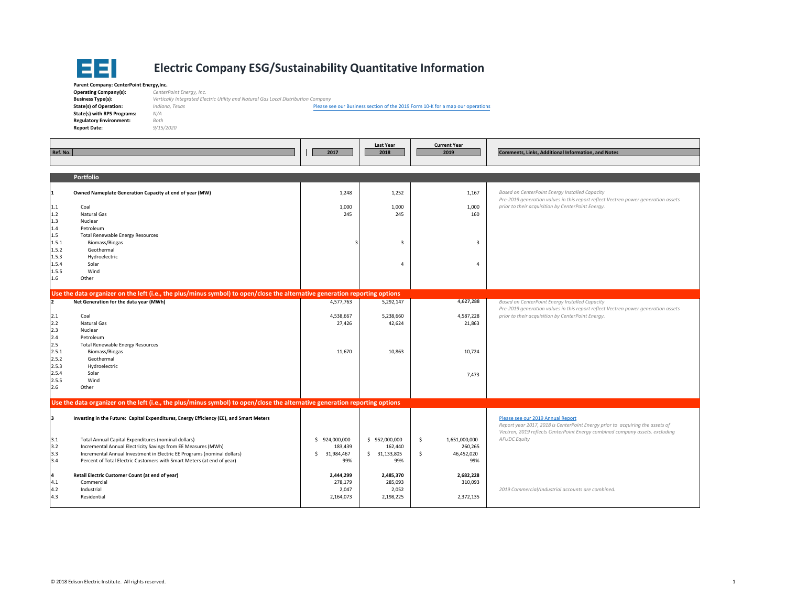

## **Electric Company ESG/Sustainability Quantitative Information**

**Parent Company: CenterPoint Energy,Inc. Operating Company(s):** *CenterPoint Energy, Inc.* **Business Type(s): State(s) of Operation:** *Indiana, Texas* **State(s) with RPS Programs:** *N/A* **Regulatory Environment:** *Both* **Report Date:** *9/15/2020*

**Type(s):** *Vertically Integrated Electric Utility and Natural Gas Local Distribution Company*

Please see our Business section of the <sup>2019</sup> Form <sup>10</sup>‐<sup>K</sup> for <sup>a</sup> map our operations

| Ref. No.                            |                                                                                                                                                                                                                                                                           | 2017                                                | <b>Last Year</b><br>2018                        | <b>Current Year</b><br>2019                               | <b>Comments, Links, Additional Information, and Notes</b>                                                                                                                                          |
|-------------------------------------|---------------------------------------------------------------------------------------------------------------------------------------------------------------------------------------------------------------------------------------------------------------------------|-----------------------------------------------------|-------------------------------------------------|-----------------------------------------------------------|----------------------------------------------------------------------------------------------------------------------------------------------------------------------------------------------------|
|                                     | Portfolio                                                                                                                                                                                                                                                                 |                                                     |                                                 |                                                           |                                                                                                                                                                                                    |
| 1                                   | Owned Nameplate Generation Capacity at end of year (MW)                                                                                                                                                                                                                   | 1,248                                               | 1,252                                           | 1,167                                                     | Based on CenterPoint Energy Installed Capacity                                                                                                                                                     |
| 1.1<br>1.2<br>1.3                   | Coal<br>Natural Gas<br>Nuclear                                                                                                                                                                                                                                            | 1,000<br>245                                        | 1,000<br>245                                    | 1,000<br>160                                              | Pre-2019 generation values in this report reflect Vectren power generation assets<br>prior to their acquisition by CenterPoint Energy.                                                             |
| 1.4<br>1.5<br>1.5.1<br>1.5.2        | Petroleum<br><b>Total Renewable Energy Resources</b><br><b>Biomass/Biogas</b><br>Geothermal                                                                                                                                                                               |                                                     | $\overline{3}$                                  | 3                                                         |                                                                                                                                                                                                    |
| 1.5.3<br>1.5.4<br>1.5.5<br>$1.6\,$  | Hydroelectric<br>Solar<br>Wind<br>Other                                                                                                                                                                                                                                   |                                                     | $\overline{4}$                                  | 4                                                         |                                                                                                                                                                                                    |
|                                     |                                                                                                                                                                                                                                                                           |                                                     |                                                 |                                                           |                                                                                                                                                                                                    |
| $\overline{a}$                      | Use the data organizer on the left (i.e., the plus/minus symbol) to open/close the alternative generation reporting options<br>Net Generation for the data year (MWh)                                                                                                     | 4,577,763                                           | 5,292,147                                       | 4,627,288                                                 | Based on CenterPoint Energy Installed Capacity                                                                                                                                                     |
| 2.1<br>2.2                          | Coal<br>Natural Gas                                                                                                                                                                                                                                                       | 4,538,667<br>27,426                                 | 5,238,660<br>42,624                             | 4,587,228<br>21,863                                       | Pre-2019 generation values in this report reflect Vectren power generation assets<br>prior to their acquisition by CenterPoint Energy.                                                             |
| 2.3<br>2.4<br>2.5<br>2.5.1<br>2.5.2 | Nuclear<br>Petroleum<br><b>Total Renewable Energy Resources</b><br><b>Biomass/Biogas</b><br>Geothermal                                                                                                                                                                    | 11,670                                              | 10,863                                          | 10,724                                                    |                                                                                                                                                                                                    |
| 2.5.3<br>2.5.4<br>2.5.5<br>2.6      | Hydroelectric<br>Solar<br>Wind<br>Other                                                                                                                                                                                                                                   |                                                     |                                                 | 7,473                                                     |                                                                                                                                                                                                    |
|                                     |                                                                                                                                                                                                                                                                           |                                                     |                                                 |                                                           |                                                                                                                                                                                                    |
|                                     | Use the data organizer on the left (i.e., the plus/minus symbol) to open/close the alternative generation reporting options                                                                                                                                               |                                                     |                                                 |                                                           |                                                                                                                                                                                                    |
|                                     | Investing in the Future: Capital Expenditures, Energy Efficiency (EE), and Smart Meters                                                                                                                                                                                   |                                                     |                                                 |                                                           | Please see our 2019 Annual Report<br>Report year 2017, 2018 is CenterPoint Energy prior to acquiring the assets of<br>Vectren, 2019 reflects CenterPoint Energy combined company assets. excluding |
| 3.1<br>3.2<br>3.3<br>3.4            | Total Annual Capital Expenditures (nominal dollars)<br>Incremental Annual Electricity Savings from EE Measures (MWh)<br>Incremental Annual Investment in Electric EE Programs (nominal dollars)<br>Percent of Total Electric Customers with Smart Meters (at end of year) | \$924,000,000<br>183,439<br>31,984,467<br>s.<br>99% | \$952,000,000<br>162,440<br>\$31,133,805<br>99% | 1,651,000,000<br>\$<br>260,265<br>Ŝ.<br>46,452,020<br>99% | <b>AFUDC Equity</b>                                                                                                                                                                                |
| 4<br>4.1<br>4.2<br>4.3              | Retail Electric Customer Count (at end of year)<br>Commercial<br>Industrial<br>Residential                                                                                                                                                                                | 2,444,299<br>278,179<br>2,047<br>2,164,073          | 2,485,370<br>285,093<br>2,052<br>2,198,225      | 2,682,228<br>310,093<br>2,372,135                         | 2019 Commercial/Industrial accounts are combined.                                                                                                                                                  |
|                                     |                                                                                                                                                                                                                                                                           |                                                     |                                                 |                                                           |                                                                                                                                                                                                    |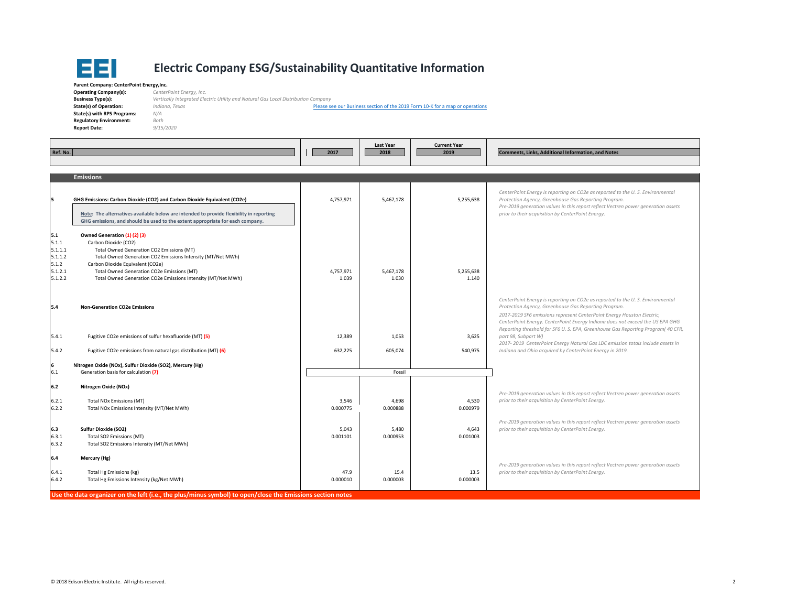

## **Electric Company ESG/Sustainability Quantitative Information**

**Parent Company: CenterPoint Energy,Inc. Operating Company(s):** *CenterPoint Energy, Inc.* **Business Type(s): State(s) of Operation:** *Indiana, Texas* **State(s) with RPS Programs:** *N/A* **Regulatory Environment:** *Both* **Report Date:** *9/15/2020*

 **Type(s):** *Vertically Integrated Electric Utility and Natural Gas Local Distribution Company* Please see our Business section of the 2019 Form 10‐K for <sup>a</sup> map or operations

| Ref. No.                                                          |                                                                                                                                                                                                                                                                                                                    | 2017               | Last Year<br>2018  | <b>Current Year</b><br>2019 | <b>Comments, Links, Additional Information, and Notes</b>                                                                                                                                                                                                                                                                                                                           |
|-------------------------------------------------------------------|--------------------------------------------------------------------------------------------------------------------------------------------------------------------------------------------------------------------------------------------------------------------------------------------------------------------|--------------------|--------------------|-----------------------------|-------------------------------------------------------------------------------------------------------------------------------------------------------------------------------------------------------------------------------------------------------------------------------------------------------------------------------------------------------------------------------------|
|                                                                   | <b>Emissions</b>                                                                                                                                                                                                                                                                                                   |                    |                    |                             |                                                                                                                                                                                                                                                                                                                                                                                     |
| l5                                                                | GHG Emissions: Carbon Dioxide (CO2) and Carbon Dioxide Equivalent (CO2e)<br>Note: The alternatives available below are intended to provide flexibility in reporting<br>GHG emissions, and should be used to the extent appropriate for each company.                                                               | 4,757,971          | 5,467,178          | 5,255,638                   | CenterPoint Energy is reporting on CO2e as reported to the U.S. Environmental<br>Protection Agency, Greenhouse Gas Reporting Program.<br>Pre-2019 generation values in this report reflect Vectren power generation assets<br>prior to their acquisition by CenterPoint Energy.                                                                                                     |
| 5.1<br>5.1.1<br>5.1.1.1<br>5.1.1.2<br>5.1.2<br>5.1.2.1<br>5.1.2.2 | Owned Generation (1) (2) (3)<br>Carbon Dioxide (CO2)<br>Total Owned Generation CO2 Emissions (MT)<br>Total Owned Generation CO2 Emissions Intensity (MT/Net MWh)<br>Carbon Dioxide Equivalent (CO2e)<br>Total Owned Generation CO2e Emissions (MT)<br>Total Owned Generation CO2e Emissions Intensity (MT/Net MWh) | 4,757,971<br>1.039 | 5,467,178<br>1.030 | 5,255,638<br>1.140          |                                                                                                                                                                                                                                                                                                                                                                                     |
| 5.4                                                               | <b>Non-Generation CO2e Emissions</b>                                                                                                                                                                                                                                                                               |                    |                    |                             | CenterPoint Energy is reporting on CO2e as reported to the U.S. Environmental<br>Protection Agency, Greenhouse Gas Reporting Program.<br>2017-2019 SF6 emissions represent CenterPoint Energy Houston Electric,<br>CenterPoint Energy. CenterPoint Energy Indiana does not exceed the US EPA GHG<br>Reporting threshold for SF6 U. S. EPA, Greenhouse Gas Reporting Program(40 CFR, |
| 5.4.1                                                             | Fugitive CO2e emissions of sulfur hexafluoride (MT) (5)                                                                                                                                                                                                                                                            | 12,389             | 1,053              | 3,625                       | part 98, Subpart W)                                                                                                                                                                                                                                                                                                                                                                 |
| 5.4.2                                                             | Fugitive CO2e emissions from natural gas distribution (MT) (6)                                                                                                                                                                                                                                                     | 632,225            | 605,074            | 540,975                     | 2017-2019 CenterPoint Energy Natural Gas LDC emission totals include assets in<br>Indiana and Ohio acquired by CenterPoint Energy in 2019.                                                                                                                                                                                                                                          |
| 16<br>6.1                                                         | Nitrogen Oxide (NOx), Sulfur Dioxide (SO2), Mercury (Hg)<br>Generation basis for calculation (7)                                                                                                                                                                                                                   |                    | Fossil             |                             |                                                                                                                                                                                                                                                                                                                                                                                     |
| 6.2                                                               | Nitrogen Oxide (NOx)                                                                                                                                                                                                                                                                                               |                    |                    |                             | Pre-2019 generation values in this report reflect Vectren power generation assets                                                                                                                                                                                                                                                                                                   |
| 6.2.1<br>6.2.2                                                    | Total NOx Emissions (MT)<br>Total NOx Emissions Intensity (MT/Net MWh)                                                                                                                                                                                                                                             | 3,546<br>0.000775  | 4,698<br>0.000888  | 4,530<br>0.000979           | prior to their acquisition by CenterPoint Energy.                                                                                                                                                                                                                                                                                                                                   |
| 6.3<br>6.3.1<br>6.3.2                                             | <b>Sulfur Dioxide (SO2)</b><br>Total SO2 Emissions (MT)<br>Total SO2 Emissions Intensity (MT/Net MWh)                                                                                                                                                                                                              | 5,043<br>0.001101  | 5,480<br>0.000953  | 4,643<br>0.001003           | Pre-2019 generation values in this report reflect Vectren power generation assets<br>prior to their acquisition by CenterPoint Energy.                                                                                                                                                                                                                                              |
| 6.4                                                               | Mercury (Hg)                                                                                                                                                                                                                                                                                                       |                    |                    |                             |                                                                                                                                                                                                                                                                                                                                                                                     |
| 6.4.1<br>6.4.2                                                    | Total Hg Emissions (kg)<br>Total Hg Emissions Intensity (kg/Net MWh)                                                                                                                                                                                                                                               | 47.9<br>0.000010   | 15.4<br>0.000003   | 13.5<br>0.000003            | Pre-2019 generation values in this report reflect Vectren power generation assets<br>prior to their acquisition by CenterPoint Energy.                                                                                                                                                                                                                                              |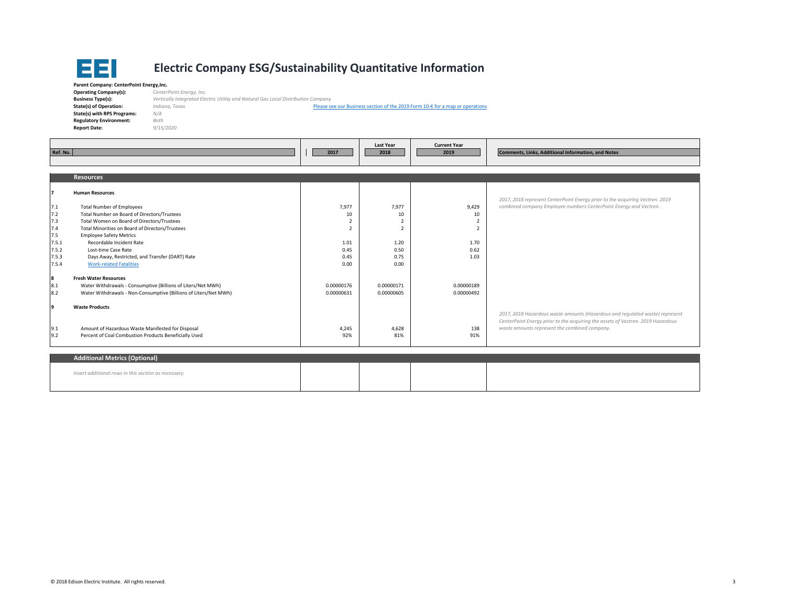

## **Electric Company ESG/Sustainability Quantitative Information**

| Parent Company: CenterPoint Energy, Inc. |                                                                                   |                                                                               |  |  |  |  |  |  |
|------------------------------------------|-----------------------------------------------------------------------------------|-------------------------------------------------------------------------------|--|--|--|--|--|--|
| <b>Operating Company(s):</b>             | CenterPoint Energy, Inc.                                                          |                                                                               |  |  |  |  |  |  |
| <b>Business Type(s):</b>                 | Vertically Integrated Electric Utility and Natural Gas Local Distribution Company |                                                                               |  |  |  |  |  |  |
| <b>State(s) of Operation:</b>            | Indiana, Texas                                                                    | Please see our Business section of the 2019 Form 10-K for a map or operations |  |  |  |  |  |  |
| State(s) with RPS Programs:              | N/A                                                                               |                                                                               |  |  |  |  |  |  |
| <b>Regulatory Environment:</b>           | Both                                                                              |                                                                               |  |  |  |  |  |  |
| <b>Report Date:</b>                      | 9/15/2020                                                                         |                                                                               |  |  |  |  |  |  |
|                                          |                                                                                   |                                                                               |  |  |  |  |  |  |

|          |                                                                  |                          | Last Year                | <b>Current Year</b> |                                                                                 |  |
|----------|------------------------------------------------------------------|--------------------------|--------------------------|---------------------|---------------------------------------------------------------------------------|--|
| Ref. No. |                                                                  | 2017                     | 2018                     | 2019                | <b>Comments, Links, Additional Information, and Notes</b>                       |  |
|          |                                                                  |                          |                          |                     |                                                                                 |  |
|          |                                                                  |                          |                          |                     |                                                                                 |  |
|          | <b>Resources</b>                                                 |                          |                          |                     |                                                                                 |  |
|          |                                                                  |                          |                          |                     |                                                                                 |  |
|          | <b>Human Resources</b>                                           |                          |                          |                     | 2017, 2018 represent CenterPoint Energy prior to the acquiring Vectren. 2019    |  |
| 7.1      | <b>Total Number of Employees</b>                                 | 7,977                    | 7,977                    | 9,429               | combined company Employee numbers CenterPoint Energy and Vectren.               |  |
| 7.2      | Total Number on Board of Directors/Trustees                      | 10                       | 10                       | 10                  |                                                                                 |  |
| 7.3      | Total Women on Board of Directors/Trustees                       |                          | $\overline{2}$           |                     |                                                                                 |  |
| 7.4      | Total Minorities on Board of Directors/Trustees                  | $\overline{\phantom{a}}$ | $\overline{\phantom{0}}$ |                     |                                                                                 |  |
| 7.5      | <b>Employee Safety Metrics</b>                                   |                          |                          |                     |                                                                                 |  |
| 7.5.1    | Recordable Incident Rate                                         | 1.01                     | 1.20                     | 1.70                |                                                                                 |  |
| 7.5.2    | Lost-time Case Rate                                              | 0.45                     | 0.50                     | 0.62                |                                                                                 |  |
| 7.5.3    | Days Away, Restricted, and Transfer (DART) Rate                  | 0.45                     | 0.75                     | 1.03                |                                                                                 |  |
| 7.5.4    | <b>Work-related Fatalities</b>                                   | 0.00                     | 0.00                     |                     |                                                                                 |  |
| 8        | <b>Fresh Water Resources</b>                                     |                          |                          |                     |                                                                                 |  |
| 8.1      | Water Withdrawals - Consumptive (Billions of Liters/Net MWh)     | 0.00000176               | 0.00000171               | 0.00000189          |                                                                                 |  |
| 8.2      | Water Withdrawals - Non-Consumptive (Billions of Liters/Net MWh) | 0.00000631               | 0.00000605               | 0.00000492          |                                                                                 |  |
|          |                                                                  |                          |                          |                     |                                                                                 |  |
| 9        | <b>Waste Products</b>                                            |                          |                          |                     |                                                                                 |  |
|          |                                                                  |                          |                          |                     | 2017, 2018 Hazardous waste amounts (Hazardous and regulated waste) represent    |  |
|          |                                                                  |                          |                          |                     | CenterPoint Energy prior to the acquiring the assets of Vectren. 2019 Hazardous |  |
| 9.1      | Amount of Hazardous Waste Manifested for Disposal                | 4,245                    | 4,628                    | 138                 | waste amounts represent the combined company.                                   |  |
| 9.2      | Percent of Coal Combustion Products Beneficially Used            | 92%                      | 81%                      | 91%                 |                                                                                 |  |
|          |                                                                  |                          |                          |                     |                                                                                 |  |
|          |                                                                  |                          |                          |                     |                                                                                 |  |

| Additional Metrics (Optional)                        |  |  |
|------------------------------------------------------|--|--|
| Insert additional rows in this section as necessary. |  |  |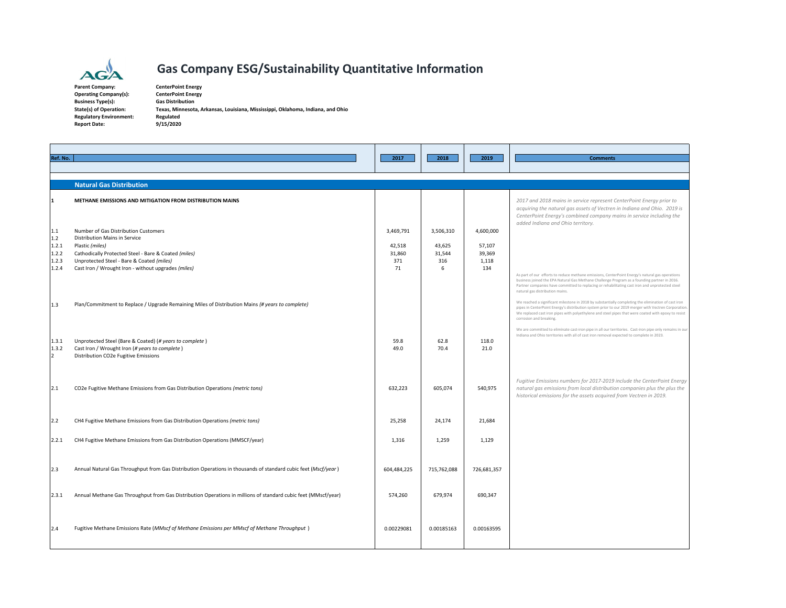

## **Gas Company ESG/Sustainability Quantitative Information**

**Parent** $Operating Company(s):$ **Business Type(s): Regulatory Environment: Regulated Report Date: 9/15/2020**

 **Company: CenterPoint Energy Type(s): Gas Distribution State(s) of Operation: Texas, Minnesota, Arkansas, Louisiana, Mississippi, Oklahoma, Indiana, and Ohio**

| Ref. No.                                       |                                                                                                                                                                                                                                                      | 2017                                       | 2018                                      | 2019                                          | <b>Comments</b>                                                                                                                                                                                                                                                                                                                                                                                                                                          |
|------------------------------------------------|------------------------------------------------------------------------------------------------------------------------------------------------------------------------------------------------------------------------------------------------------|--------------------------------------------|-------------------------------------------|-----------------------------------------------|----------------------------------------------------------------------------------------------------------------------------------------------------------------------------------------------------------------------------------------------------------------------------------------------------------------------------------------------------------------------------------------------------------------------------------------------------------|
|                                                | <b>Natural Gas Distribution</b>                                                                                                                                                                                                                      |                                            |                                           |                                               |                                                                                                                                                                                                                                                                                                                                                                                                                                                          |
| 11                                             | METHANE EMISSIONS AND MITIGATION FROM DISTRIBUTION MAINS                                                                                                                                                                                             |                                            |                                           |                                               | 2017 and 2018 mains in service represent CenterPoint Energy prior to<br>acquiring the natural gas assets of Vectren in Indiana and Ohio. 2019 is<br>CenterPoint Energy's combined company mains in service including the                                                                                                                                                                                                                                 |
| 1.1<br>1.2<br>1.2.1<br>1.2.2<br>1.2.3<br>1.2.4 | Number of Gas Distribution Customers<br>Distribution Mains in Service<br>Plastic (miles)<br>Cathodically Protected Steel - Bare & Coated (miles)<br>Unprotected Steel - Bare & Coated (miles)<br>Cast Iron / Wrought Iron - without upgrades (miles) | 3,469,791<br>42,518<br>31,860<br>371<br>71 | 3,506,310<br>43,625<br>31,544<br>316<br>6 | 4,600,000<br>57,107<br>39,369<br>1,118<br>134 | added Indiana and Ohio territory.<br>As part of our efforts to reduce methane emissions, CenterPoint Energy's natural gas operations<br>business joined the EPA Natural Gas Methane Challenge Program as a founding partner in 2016.<br>Partner companies have committed to replacing or rehabilitating cast iron and unprotected steel<br>natural gas distribution mains.                                                                               |
| 1.3                                            | Plan/Commitment to Replace / Upgrade Remaining Miles of Distribution Mains (# years to complete)                                                                                                                                                     |                                            |                                           |                                               | We reached a significant milestone in 2018 by substantially completing the elimination of cast iron<br>pipes in CenterPoint Energy's distribution system prior to our 2019 merger with Vectren Corporation.<br>We replaced cast iron pipes with polyethylene and steel pipes that were coated with epoxy to resist<br>corrosion and breaking.<br>We are committed to eliminate cast-iron pipe in all our territories. Cast-iron pipe only remains in our |
| 1.3.1<br>1.3.2<br>$\vert$ <sub>2</sub>         | Unprotected Steel (Bare & Coated) (# years to complete)<br>Cast Iron / Wrought Iron (# years to complete)<br>Distribution CO2e Fugitive Emissions                                                                                                    | 59.8<br>49.0                               | 62.8<br>70.4                              | 118.0<br>21.0                                 | Indiana and Ohio territories with all of cast iron removal expected to complete in 2023.                                                                                                                                                                                                                                                                                                                                                                 |
| 2.1                                            | CO2e Fugitive Methane Emissions from Gas Distribution Operations (metric tons)                                                                                                                                                                       | 632,223                                    | 605,074                                   | 540,975                                       | Fugitive Emissions numbers for 2017-2019 include the CenterPoint Energy<br>natural gas emissions from local distribution companies plus the plus the<br>historical emissions for the assets acquired from Vectren in 2019.                                                                                                                                                                                                                               |
| 2.2                                            | CH4 Fugitive Methane Emissions from Gas Distribution Operations (metric tons)                                                                                                                                                                        | 25,258                                     | 24,174                                    | 21,684                                        |                                                                                                                                                                                                                                                                                                                                                                                                                                                          |
| 2.2.1                                          | CH4 Fugitive Methane Emissions from Gas Distribution Operations (MMSCF/year)                                                                                                                                                                         | 1,316                                      | 1,259                                     | 1,129                                         |                                                                                                                                                                                                                                                                                                                                                                                                                                                          |
| 2.3                                            | Annual Natural Gas Throughput from Gas Distribution Operations in thousands of standard cubic feet (Mscf/year)                                                                                                                                       | 604,484,225                                | 715,762,088                               | 726,681,357                                   |                                                                                                                                                                                                                                                                                                                                                                                                                                                          |
| 2.3.1                                          | Annual Methane Gas Throughput from Gas Distribution Operations in millions of standard cubic feet (MMscf/year)                                                                                                                                       | 574,260                                    | 679,974                                   | 690,347                                       |                                                                                                                                                                                                                                                                                                                                                                                                                                                          |
| 2.4                                            | Fugitive Methane Emissions Rate (MMscf of Methane Emissions per MMscf of Methane Throughput)                                                                                                                                                         | 0.00229081                                 | 0.00185163                                | 0.00163595                                    |                                                                                                                                                                                                                                                                                                                                                                                                                                                          |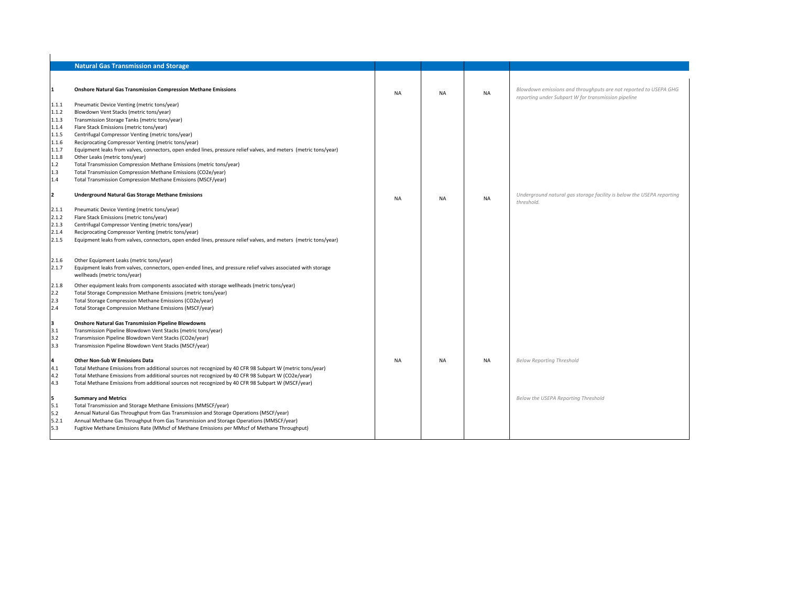|                | <b>Natural Gas Transmission and Storage</b>                                                                      |           |           |           |                                                                                                                         |
|----------------|------------------------------------------------------------------------------------------------------------------|-----------|-----------|-----------|-------------------------------------------------------------------------------------------------------------------------|
|                |                                                                                                                  |           |           |           |                                                                                                                         |
| 11.            | <b>Onshore Natural Gas Transmission Compression Methane Emissions</b>                                            | <b>NA</b> | <b>NA</b> | <b>NA</b> | Blowdown emissions and throughputs are not reported to USEPA GHG<br>reporting under Subpart W for transmission pipeline |
| 1.1.1          | Pneumatic Device Venting (metric tons/year)                                                                      |           |           |           |                                                                                                                         |
| 1.1.2          | Blowdown Vent Stacks (metric tons/year)                                                                          |           |           |           |                                                                                                                         |
| 1.1.3          | Transmission Storage Tanks (metric tons/year)                                                                    |           |           |           |                                                                                                                         |
| 1.1.4          | Flare Stack Emissions (metric tons/year)                                                                         |           |           |           |                                                                                                                         |
| 1.1.5          | Centrifugal Compressor Venting (metric tons/year)                                                                |           |           |           |                                                                                                                         |
| 1.1.6          | Reciprocating Compressor Venting (metric tons/year)                                                              |           |           |           |                                                                                                                         |
| 1.1.7          | Equipment leaks from valves, connectors, open ended lines, pressure relief valves, and meters (metric tons/year) |           |           |           |                                                                                                                         |
| 1.1.8          | Other Leaks (metric tons/year)                                                                                   |           |           |           |                                                                                                                         |
| 1.2            | Total Transmission Compression Methane Emissions (metric tons/year)                                              |           |           |           |                                                                                                                         |
| 1.3            | Total Transmission Compression Methane Emissions (CO2e/year)                                                     |           |           |           |                                                                                                                         |
| 1.4            | Total Transmission Compression Methane Emissions (MSCF/year)                                                     |           |           |           |                                                                                                                         |
| l2.            | <b>Underground Natural Gas Storage Methane Emissions</b>                                                         | <b>NA</b> | <b>NA</b> | <b>NA</b> | Underground natural gas storage facility is below the USEPA reporting<br>threshold.                                     |
|                | Pneumatic Device Venting (metric tons/year)                                                                      |           |           |           |                                                                                                                         |
| 2.1.1<br>2.1.2 | Flare Stack Emissions (metric tons/year)                                                                         |           |           |           |                                                                                                                         |
| 2.1.3          | Centrifugal Compressor Venting (metric tons/year)                                                                |           |           |           |                                                                                                                         |
| 2.1.4          | Reciprocating Compressor Venting (metric tons/year)                                                              |           |           |           |                                                                                                                         |
| 2.1.5          | Equipment leaks from valves, connectors, open ended lines, pressure relief valves, and meters (metric tons/year) |           |           |           |                                                                                                                         |
|                |                                                                                                                  |           |           |           |                                                                                                                         |
| 2.1.6          | Other Equipment Leaks (metric tons/year)                                                                         |           |           |           |                                                                                                                         |
| 2.1.7          | Equipment leaks from valves, connectors, open-ended lines, and pressure relief valves associated with storage    |           |           |           |                                                                                                                         |
|                | wellheads (metric tons/year)                                                                                     |           |           |           |                                                                                                                         |
|                |                                                                                                                  |           |           |           |                                                                                                                         |
| 2.1.8          | Other equipment leaks from components associated with storage wellheads (metric tons/year)                       |           |           |           |                                                                                                                         |
| 2.2            | Total Storage Compression Methane Emissions (metric tons/year)                                                   |           |           |           |                                                                                                                         |
| 2.3<br>2.4     | Total Storage Compression Methane Emissions (CO2e/year)                                                          |           |           |           |                                                                                                                         |
|                | Total Storage Compression Methane Emissions (MSCF/year)                                                          |           |           |           |                                                                                                                         |
| lз             | <b>Onshore Natural Gas Transmission Pipeline Blowdowns</b>                                                       |           |           |           |                                                                                                                         |
| 3.1            | Transmission Pipeline Blowdown Vent Stacks (metric tons/year)                                                    |           |           |           |                                                                                                                         |
| 3.2            | Transmission Pipeline Blowdown Vent Stacks (CO2e/year)                                                           |           |           |           |                                                                                                                         |
| 3.3            | Transmission Pipeline Blowdown Vent Stacks (MSCF/year)                                                           |           |           |           |                                                                                                                         |
| 4              | <b>Other Non-Sub W Emissions Data</b>                                                                            | <b>NA</b> | <b>NA</b> | <b>NA</b> | <b>Below Reporting Threshold</b>                                                                                        |
| 4.1            | Total Methane Emissions from additional sources not recognized by 40 CFR 98 Subpart W (metric tons/year)         |           |           |           |                                                                                                                         |
| 4.2            | Total Methane Emissions from additional sources not recognized by 40 CFR 98 Subpart W (CO2e/year)                |           |           |           |                                                                                                                         |
| 4.3            | Total Methane Emissions from additional sources not recognized by 40 CFR 98 Subpart W (MSCF/year)                |           |           |           |                                                                                                                         |
|                |                                                                                                                  |           |           |           |                                                                                                                         |
| l5.            | <b>Summary and Metrics</b>                                                                                       |           |           |           | Below the USEPA Reporting Threshold                                                                                     |
| 5.1            | Total Transmission and Storage Methane Emissions (MMSCF/year)                                                    |           |           |           |                                                                                                                         |
| 5.2            | Annual Natural Gas Throughput from Gas Transmission and Storage Operations (MSCF/year)                           |           |           |           |                                                                                                                         |
| 5.2.1          | Annual Methane Gas Throughput from Gas Transmission and Storage Operations (MMSCF/year)                          |           |           |           |                                                                                                                         |
| 5.3            | Fugitive Methane Emissions Rate (MMscf of Methane Emissions per MMscf of Methane Throughput)                     |           |           |           |                                                                                                                         |
|                |                                                                                                                  |           |           |           |                                                                                                                         |